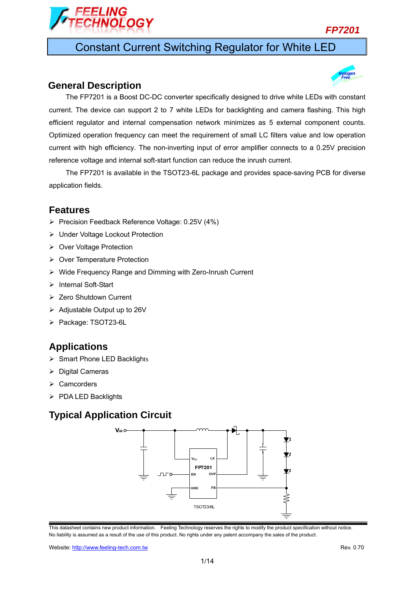

Constant Current Switching Regulator for White LED

### **General Description**



The FP7201 is available in the TSOT23-6L package and provides space-saving PCB for diverse application fields.

### **Features**

- Precision Feedback Reference Voltage: 0.25V (4%)
- ▶ Under Voltage Lockout Protection
- ▶ Over Voltage Protection
- ▶ Over Temperature Protection
- Wide Frequency Range and Dimming with Zero-Inrush Current
- > Internal Soft-Start
- **EXEC** Shutdown Current
- $\triangleright$  Adjustable Output up to 26V
- Package: TSOT23-6L

### **Applications**

- $\triangleright$  Smart Phone LED Backlights
- $\triangleright$  Digital Cameras
- $\triangleright$  Camcorders
- $\triangleright$  PDA LED Backlights

### **Typical Application Circuit**

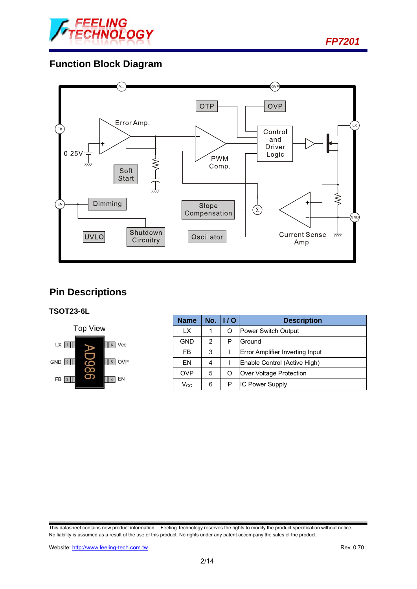

*FP7201* 

## **Function Block Diagram**



## **Pin Descriptions**

### **TSOT23-6L**



| <b>Name</b>                | No. | 1/O | <b>Description</b>              |  |
|----------------------------|-----|-----|---------------------------------|--|
| LX.                        | 1   | O   | Power Switch Output             |  |
| GND                        | 2   | P   | Ground                          |  |
| FB                         | 3   |     | Error Amplifier Inverting Input |  |
| EN                         | 4   |     | Enable Control (Active High)    |  |
| <b>OVP</b>                 | 5   | O   | Over Voltage Protection         |  |
| $\mathsf{V}_{\mathsf{CC}}$ | 6   | Р   | <b>IC Power Supply</b>          |  |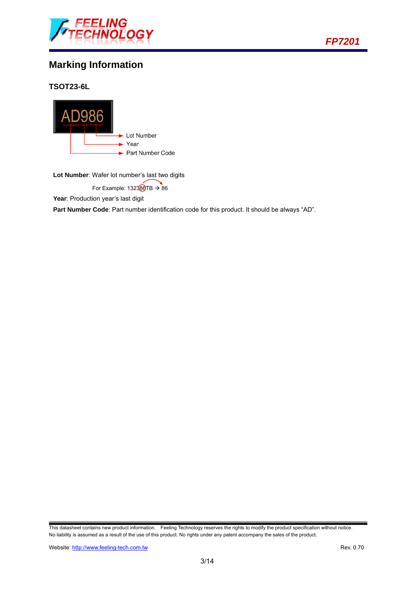



## **Marking Information**

**TSOT23-6L** 



**Lot Number**: Wafer lot number's last two digits

For Example:  $132380TB \rightarrow 86$ 

Year: Production year's last digit

**Part Number Code**: Part number identification code for this product. It should be always "AD".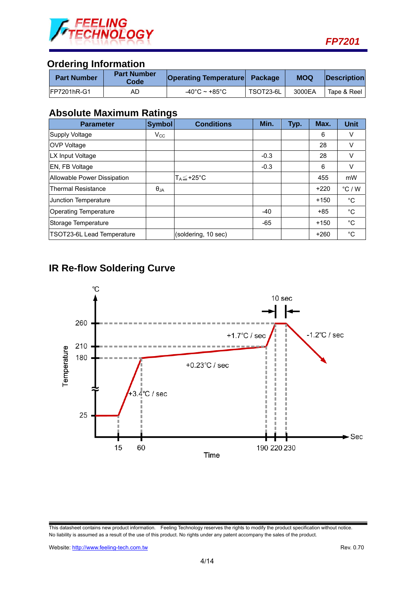

### **Ordering Information**

| <b>Part Number</b>  | <b>Part Number</b><br>Code | <b>Operating Temperature Package</b> |           | <b>MOQ</b> | <b>IDescription</b> |
|---------------------|----------------------------|--------------------------------------|-----------|------------|---------------------|
| <b>IFP7201hR-G1</b> | AС                         | -40°C ~ +85°C                        | TSOT23-6L | 3000EA     | Tape & Reel         |

### **Absolute Maximum Ratings**

| <b>Parameter</b>             | <b>Symbol</b> | <b>Conditions</b>     | Min.   | Typ. | Max.   | Unit            |
|------------------------------|---------------|-----------------------|--------|------|--------|-----------------|
| Supply Voltage               | $V_{\rm CC}$  |                       |        |      | 6      | V               |
| <b>OVP Voltage</b>           |               |                       |        |      | 28     | v               |
| LX Input Voltage             |               |                       | $-0.3$ |      | 28     | v               |
| EN, FB Voltage               |               |                       | $-0.3$ |      | 6      | v               |
| Allowable Power Dissipation  |               | T <sub>A</sub> ≦+25°C |        |      | 455    | mW              |
| <b>Thermal Resistance</b>    | $\theta_{JA}$ |                       |        |      | $+220$ | $\degree$ C / W |
| <b>Junction Temperature</b>  |               |                       |        |      | $+150$ | $^{\circ}$ C    |
| <b>Operating Temperature</b> |               |                       | $-40$  |      | $+85$  | $^{\circ}C$     |
| Storage Temperature          |               |                       | $-65$  |      | $+150$ | $^{\circ}C$     |
| TSOT23-6L Lead Temperature   |               | (soldering, 10 sec)   |        |      | $+260$ | °C              |

# **IR Re-flow Soldering Curve**



This datasheet contains new product information. Feeling Technology reserves the rights to modify the product specification without notice. No liability is assumed as a result of the use of this product. No rights under any patent accompany the sales of the product.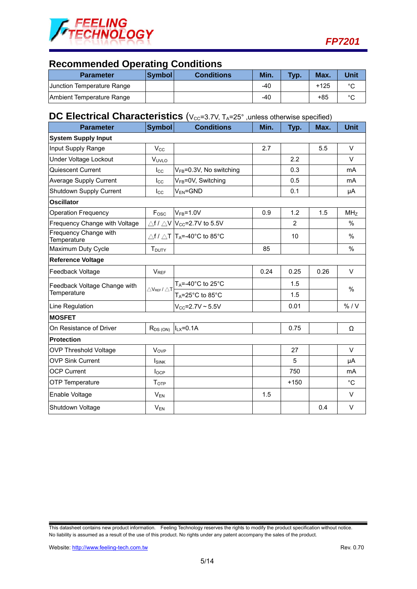

### **Recommended Operating Conditions**

| <b>Parameter</b>           | <b>Symbol</b> | <b>Conditions</b> | Min.  | <b>Typ.</b> | Max.   | Unit    |
|----------------------------|---------------|-------------------|-------|-------------|--------|---------|
| Junction Temperature Range |               |                   | $-40$ |             | $+125$ | $\circ$ |
| Ambient Temperature Range  |               |                   | -40   |             | +85    | $\circ$ |

## **DC Electrical Characteristics** (V<sub>CC</sub>=3.7V, T<sub>A</sub>=25°, unless otherwise specified)

| <b>Parameter</b>                     | Symbol                                       | <b>Conditions</b>                                          | Min. | Typ.   | Max. | <b>Unit</b>     |
|--------------------------------------|----------------------------------------------|------------------------------------------------------------|------|--------|------|-----------------|
| <b>System Supply Input</b>           |                                              |                                                            |      |        |      |                 |
| Input Supply Range                   | $V_{\rm CC}$                                 |                                                            | 2.7  |        | 5.5  | V               |
| Under Voltage Lockout                | VUVLO                                        |                                                            |      | 2.2    |      | $\vee$          |
| Quiescent Current                    | $_{\rm lcc}$                                 | V <sub>FB</sub> =0.3V, No switching                        |      | 0.3    |      | mA              |
| <b>Average Supply Current</b>        | $I_{\rm CC}$                                 | V <sub>FB</sub> =0V, Switching                             |      | 0.5    |      | mA              |
| Shutdown Supply Current              | $I_{\rm CC}$                                 | $V_{EN} = GND$                                             |      | 0.1    |      | μA              |
| <b>Oscillator</b>                    |                                              |                                                            |      |        |      |                 |
| <b>Operation Frequency</b>           | Fosc                                         | $VFB=1.0V$                                                 | 0.9  | 1.2    | 1.5  | MH <sub>Z</sub> |
| Frequency Change with Voltage        |                                              | $\triangle$ f / $\triangle$ V $ V_{CC}$ =2.7V to 5.5V      |      | 2      |      | $\%$            |
| Frequency Change with<br>Temperature |                                              | $\triangle f / \triangle T$  T <sub>A</sub> =-40°C to 85°C |      | 10     |      | $\%$            |
| Maximum Duty Cycle                   | T <sub>DUTY</sub>                            |                                                            | 85   |        |      | $\%$            |
| <b>Reference Voltage</b>             |                                              |                                                            |      |        |      |                 |
| Feedback Voltage                     | <b>V<sub>REF</sub></b>                       |                                                            | 0.24 | 0.25   | 0.26 | V               |
| Feedback Voltage Change with         | $\triangle$ V <sub>REF</sub> / $\triangle$ T | $T_A = -40^\circ C$ to 25°C                                |      | 1.5    |      | $\%$            |
| Temperature                          |                                              | $T_A = 25^\circ \text{C}$ to 85 $^\circ \text{C}$          |      | 1.5    |      |                 |
| Line Regulation                      |                                              | $V_{CC} = 2.7V - 5.5V$                                     |      | 0.01   |      | % / V           |
| <b>MOSFET</b>                        |                                              |                                                            |      |        |      |                 |
| On Resistance of Driver              | $R_{DS(ON)}$                                 | $ILX=0.1A$                                                 |      | 0.75   |      | Ω               |
| Protection                           |                                              |                                                            |      |        |      |                 |
| <b>OVP Threshold Voltage</b>         | <b>V<sub>OVP</sub></b>                       |                                                            |      | 27     |      | V               |
| <b>OVP Sink Current</b>              | <b>I</b> <sub>SINK</sub>                     |                                                            |      | 5      |      | μA              |
| <b>OCP Current</b>                   | $I_{OCP}$                                    |                                                            |      | 750    |      | m <sub>A</sub>  |
| OTP Temperature                      | T <sub>OTP</sub>                             |                                                            |      | $+150$ |      | $^{\circ}C$     |
| Enable Voltage                       | $V_{EN}$                                     |                                                            | 1.5  |        |      | V               |
| Shutdown Voltage                     | $\mathsf{V}_\mathsf{EN}$                     |                                                            |      |        | 0.4  | $\vee$          |

This datasheet contains new product information. Feeling Technology reserves the rights to modify the product specification without notice. No liability is assumed as a result of the use of this product. No rights under any patent accompany the sales of the product.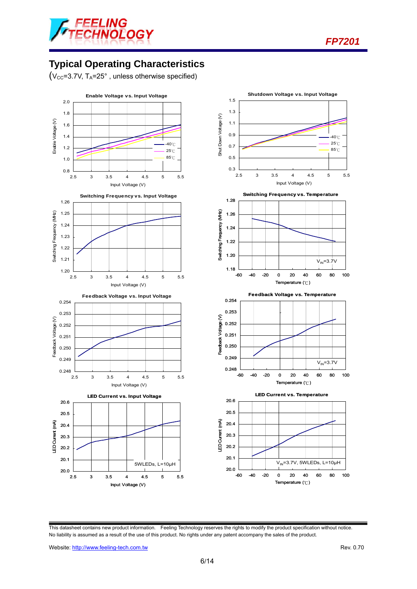



## **Typical Operating Characteristics**

 $(V_{CC}=3.7V, T_A=25^\circ$ , unless otherwise specified)



This datasheet contains new product information. Feeling Technology reserves the rights to modify the product specification without notice. No liability is assumed as a result of the use of this product. No rights under any patent accompany the sales of the product.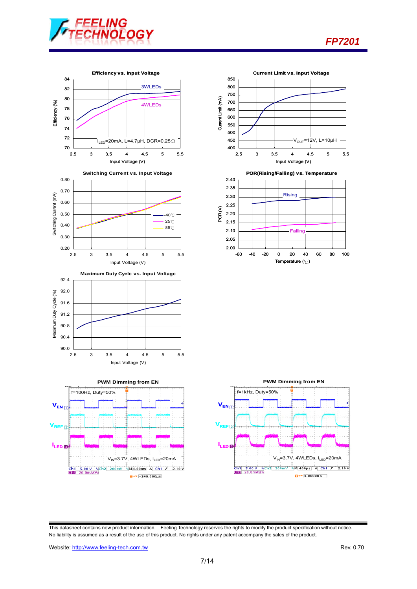



 $\overline{u}$ +  $\overline{v}$  - 240.000  $\mu$ s



Temperature (℃)

*FP7201* 

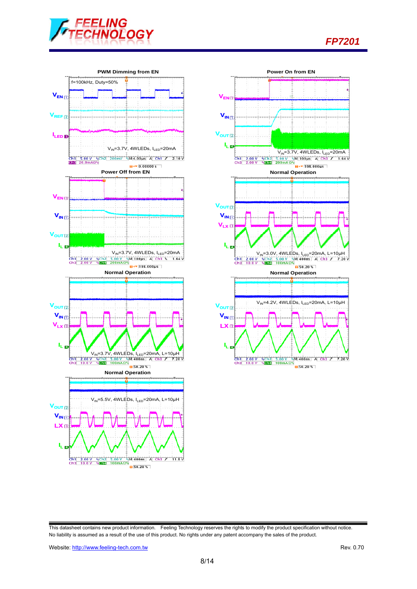

*FP7201* 



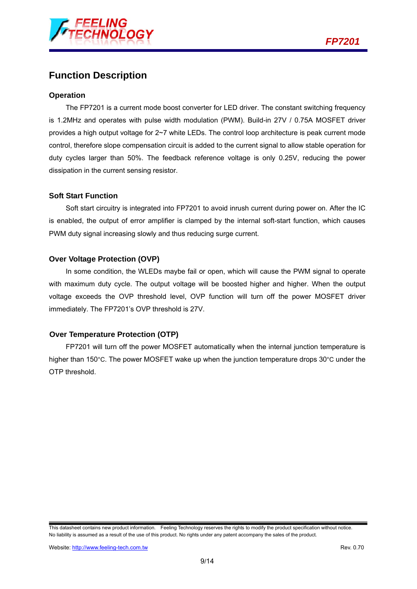

### **Function Description**

### **Operation**

The FP7201 is a current mode boost converter for LED driver. The constant switching frequency is 1.2MHz and operates with pulse width modulation (PWM). Build-in 27V / 0.75A MOSFET driver provides a high output voltage for 2~7 white LEDs. The control loop architecture is peak current mode control, therefore slope compensation circuit is added to the current signal to allow stable operation for duty cycles larger than 50%. The feedback reference voltage is only 0.25V, reducing the power dissipation in the current sensing resistor.

#### **Soft Start Function**

Soft start circuitry is integrated into FP7201 to avoid inrush current during power on. After the IC is enabled, the output of error amplifier is clamped by the internal soft-start function, which causes PWM duty signal increasing slowly and thus reducing surge current.

#### **Over Voltage Protection (OVP)**

In some condition, the WLEDs maybe fail or open, which will cause the PWM signal to operate with maximum duty cycle. The output voltage will be boosted higher and higher. When the output voltage exceeds the OVP threshold level, OVP function will turn off the power MOSFET driver immediately. The FP7201's OVP threshold is 27V.

#### **Over Temperature Protection (OTP)**

FP7201 will turn off the power MOSFET automatically when the internal junction temperature is higher than 150°C. The power MOSFET wake up when the junction temperature drops 30°C under the OTP threshold.

This datasheet contains new product information. Feeling Technology reserves the rights to modify the product specification without notice. No liability is assumed as a result of the use of this product. No rights under any patent accompany the sales of the product.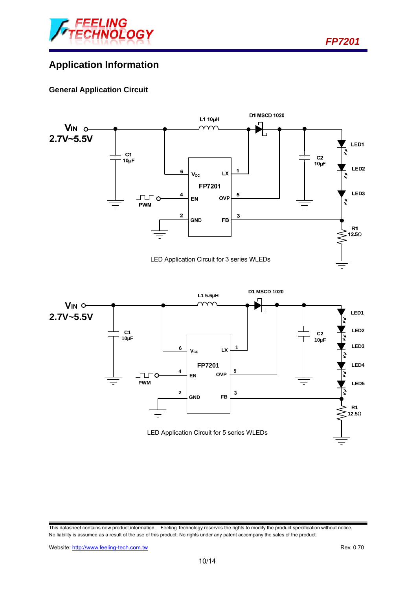

*FP7201* 

## **Application Information**

### **General Application Circuit**

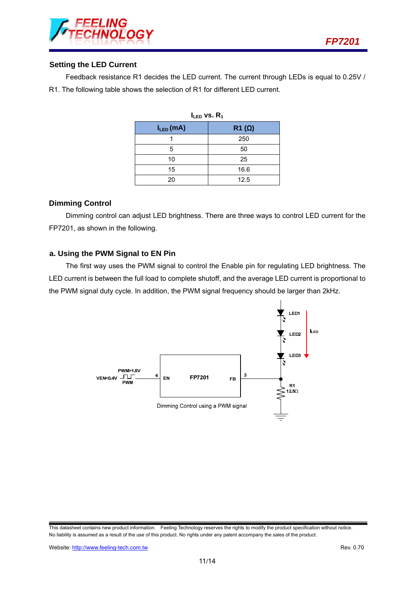

### **Setting the LED Current**

Feedback resistance R1 decides the LED current. The current through LEDs is equal to 0.25V / R1. The following table shows the selection of R1 for different LED current.

| $I_{LED}$ vs. $R_1$ |              |  |  |  |
|---------------------|--------------|--|--|--|
| $I_{LED}(mA)$       | $R1(\Omega)$ |  |  |  |
|                     | 250          |  |  |  |
| 5                   | 50           |  |  |  |
| 10                  | 25           |  |  |  |
| 15                  | 16.6         |  |  |  |
| 20                  | 12.5         |  |  |  |

#### **Dimming Control**

Dimming control can adjust LED brightness. There are three ways to control LED current for the FP7201, as shown in the following.

#### **a. Using the PWM Signal to EN Pin**

The first way uses the PWM signal to control the Enable pin for regulating LED brightness. The LED current is between the full load to complete shutoff, and the average LED current is proportional to the PWM signal duty cycle. In addition, the PWM signal frequency should be larger than 2kHz.



This datasheet contains new product information. Feeling Technology reserves the rights to modify the product specification without notice. No liability is assumed as a result of the use of this product. No rights under any patent accompany the sales of the product.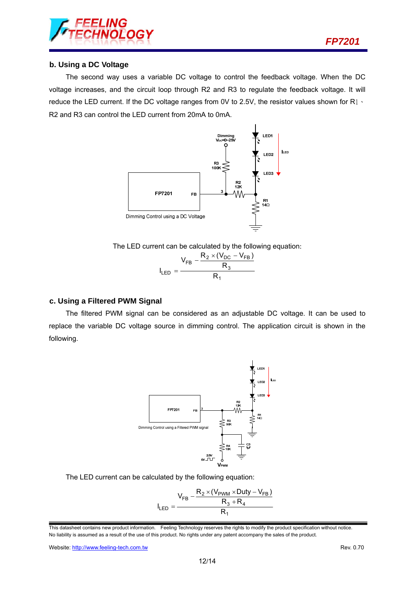

#### **b. Using a DC Voltage**

The second way uses a variable DC voltage to control the feedback voltage. When the DC voltage increases, and the circuit loop through R2 and R3 to regulate the feedback voltage. It will reduce the LED current. If the DC voltage ranges from 0V to 2.5V, the resistor values shown for R1、 R2 and R3 can control the LED current from 20mA to 0mA.



The LED current can be calculated by the following equation:

|             | $V_{FB}$ | $R_2 \times (V_{DC} - V_{FB})$ |
|-------------|----------|--------------------------------|
|             |          | $R_{\alpha}$                   |
| $I_{LED}$ = |          | R,                             |

#### **c. Using a Filtered PWM Signal**

The filtered PWM signal can be considered as an adjustable DC voltage. It can be used to replace the variable DC voltage source in dimming control. The application circuit is shown in the following.



The LED current can be calculated by the following equation:

$$
I_{LED} = \frac{V_{FB} - \frac{R_2 \times (V_{PWM} \times Duty - V_{FB})}{R_3 + R_4}}{R_1}
$$

Website: http://www.feeling-tech.com.tw Rev. 0.70

This datasheet contains new product information. Feeling Technology reserves the rights to modify the product specification without notice. No liability is assumed as a result of the use of this product. No rights under any patent accompany the sales of the product.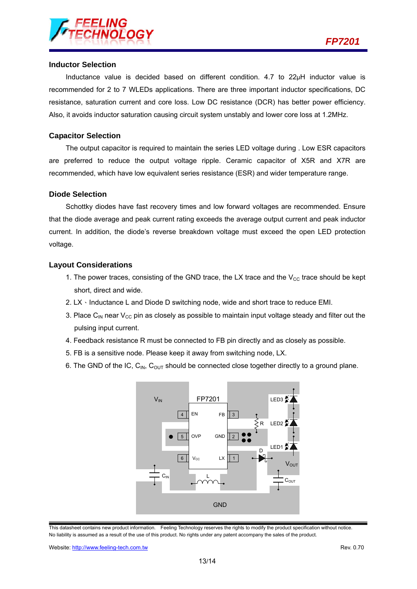

#### **Inductor Selection**

Inductance value is decided based on different condition.  $4.7$  to  $22\mu$ H inductor value is recommended for 2 to 7 WLEDs applications. There are three important inductor specifications, DC resistance, saturation current and core loss. Low DC resistance (DCR) has better power efficiency. Also, it avoids inductor saturation causing circuit system unstably and lower core loss at 1.2MHz.

#### **Capacitor Selection**

The output capacitor is required to maintain the series LED voltage during . Low ESR capacitors are preferred to reduce the output voltage ripple. Ceramic capacitor of X5R and X7R are recommended, which have low equivalent series resistance (ESR) and wider temperature range.

#### **Diode Selection**

Schottky diodes have fast recovery times and low forward voltages are recommended. Ensure that the diode average and peak current rating exceeds the average output current and peak inductor current. In addition, the diode's reverse breakdown voltage must exceed the open LED protection voltage.

#### **Layout Considerations**

- 1. The power traces, consisting of the GND trace, the LX trace and the  $V_{CC}$  trace should be kept short, direct and wide.
- 2.  $LX \cdot$  Inductance L and Diode D switching node, wide and short trace to reduce EMI.
- 3. Place C<sub>IN</sub> near V<sub>CC</sub> pin as closely as possible to maintain input voltage steady and filter out the pulsing input current.
- 4. Feedback resistance R must be connected to FB pin directly and as closely as possible.
- 5. FB is a sensitive node. Please keep it away from switching node, LX.
- 6. The GND of the IC,  $C_{\text{IN}}$ ,  $C_{\text{OUT}}$  should be connected close together directly to a ground plane.